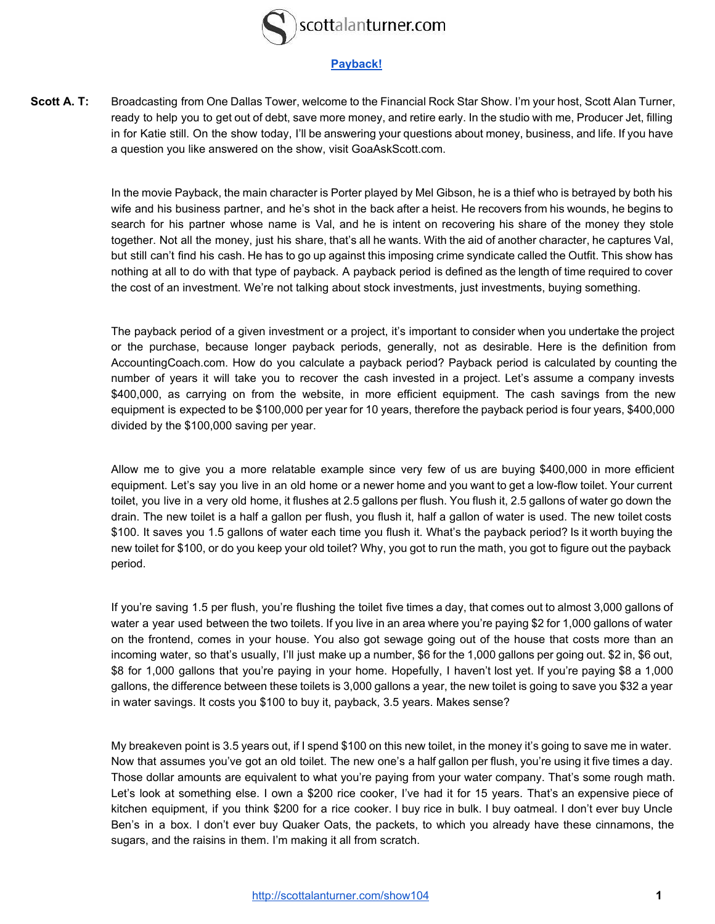

## **[Payback!](http://scottalanturner.com/show104)**

Scott A. T: Broadcasting from One Dallas Tower, welcome to the Financial Rock Star Show. I'm your host, Scott Alan Turner, ready to help you to get out of debt, save more money, and retire early. In the studio with me, Producer Jet, filling in for Katie still. On the show today, I'll be answering your questions about money, business, and life. If you have a question you like answered on the show, visit GoaAskScott.com.

> In the movie Payback, the main character is Porter played by Mel Gibson, he is a thief who is betrayed by both his wife and his business partner, and he's shot in the back after a heist. He recovers from his wounds, he begins to search for his partner whose name is Val, and he is intent on recovering his share of the money they stole together. Not all the money, just his share, that's all he wants. With the aid of another character, he captures Val, but still can't find his cash. He has to go up against this imposing crime syndicate called the Outfit. This show has nothing at all to do with that type of payback. A payback period is defined as the length of time required to cover the cost of an investment. We're not talking about stock investments, just investments, buying something.

> The payback period of a given investment or a project, it's important to consider when you undertake the project or the purchase, because longer payback periods, generally, not as desirable. Here is the definition from AccountingCoach.com. How do you calculate a payback period? Payback period is calculated by counting the number of years it will take you to recover the cash invested in a project. Let's assume a company invests \$400,000, as carrying on from the website, in more efficient equipment. The cash savings from the new equipment is expected to be \$100,000 per year for 10 years, therefore the payback period is four years, \$400,000 divided by the \$100,000 saving per year.

> Allow me to give you a more relatable example since very few of us are buying \$400,000 in more efficient equipment. Let's say you live in an old home or a newer home and you want to get a low-flow toilet. Your current toilet, you live in a very old home, it flushes at 2.5 gallons per flush. You flush it, 2.5 gallons of water go down the drain. The new toilet is a half a gallon per flush, you flush it, half a gallon of water is used. The new toilet costs \$100. It saves you 1.5 gallons of water each time you flush it. What's the payback period? Is it worth buying the new toilet for \$100, or do you keep your old toilet? Why, you got to run the math, you got to figure out the payback period.

> If you're saving 1.5 per flush, you're flushing the toilet five times a day, that comes out to almost 3,000 gallons of water a year used between the two toilets. If you live in an area where you're paying \$2 for 1,000 gallons of water on the frontend, comes in your house. You also got sewage going out of the house that costs more than an incoming water, so that's usually, I'll just make up a number, \$6 for the 1,000 gallons per going out. \$2 in, \$6 out, \$8 for 1,000 gallons that you're paying in your home. Hopefully, I haven't lost yet. If you're paying \$8 a 1,000 gallons, the difference between these toilets is 3,000 gallons a year, the new toilet is going to save you \$32 a year in water savings. It costs you \$100 to buy it, payback, 3.5 years. Makes sense?

> My breakeven point is 3.5 years out, if I spend \$100 on this new toilet, in the money it's going to save me in water. Now that assumes you've got an old toilet. The new one's a half gallon per flush, you're using it five times a day. Those dollar amounts are equivalent to what you're paying from your water company. That's some rough math. Let's look at something else. I own a \$200 rice cooker, I've had it for 15 years. That's an expensive piece of kitchen equipment, if you think \$200 for a rice cooker. I buy rice in bulk. I buy oatmeal. I don't ever buy Uncle Ben's in a box. I don't ever buy Quaker Oats, the packets, to which you already have these cinnamons, the sugars, and the raisins in them. I'm making it all from scratch.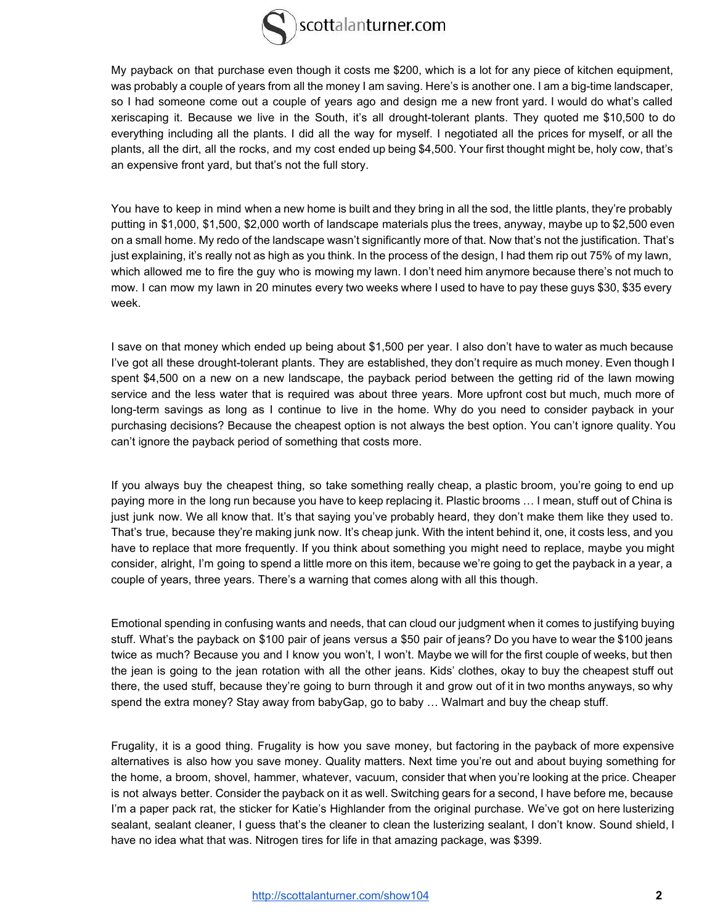

My payback on that purchase even though it costs me \$200, which is a lot for any piece of kitchen equipment, was probably a couple of years from all the money I am saving. Here's is another one. I am a big-time landscaper, so I had someone come out a couple of years ago and design me a new front yard. I would do what's called xeriscaping it. Because we live in the South, it's all drought-tolerant plants. They quoted me \$10,500 to do everything including all the plants. I did all the way for myself. I negotiated all the prices for myself, or all the plants, all the dirt, all the rocks, and my cost ended up being \$4,500. Your first thought might be, holy cow, that's an expensive front yard, but that's not the full story.

You have to keep in mind when a new home is built and they bring in all the sod, the little plants, they're probably putting in \$1,000, \$1,500, \$2,000 worth of landscape materials plus the trees, anyway, maybe up to \$2,500 even on a small home. My redo of the landscape wasn't significantly more of that. Now that's not the justification. That's just explaining, it's really not as high as you think. In the process of the design, I had them rip out 75% of my lawn, which allowed me to fire the guy who is mowing my lawn. I don't need him anymore because there's not much to mow. I can mow my lawn in 20 minutes every two weeks where I used to have to pay these guys \$30, \$35 every week.

I save on that money which ended up being about \$1,500 per year. I also don't have to water as much because I've got all these drought-tolerant plants. They are established, they don't require as much money. Even though I spent \$4,500 on a new on a new landscape, the payback period between the getting rid of the lawn mowing service and the less water that is required was about three years. More upfront cost but much, much more of long-term savings as long as I continue to live in the home. Why do you need to consider payback in your purchasing decisions? Because the cheapest option is not always the best option. You can't ignore quality. You can't ignore the payback period of something that costs more.

If you always buy the cheapest thing, so take something really cheap, a plastic broom, you're going to end up paying more in the long run because you have to keep replacing it. Plastic brooms ... I mean, stuff out of China is just junk now. We all know that. It's that saying you've probably heard, they don't make them like they used to. That's true, because they're making junk now. It's cheap junk. With the intent behind it, one, it costs less, and you have to replace that more frequently. If you think about something you might need to replace, maybe you might consider, alright, I'm going to spend a little more on this item, because we're going to get the payback in a year, a couple of years, three years. There's a warning that comes along with all this though.

Emotional spending in confusing wants and needs, that can cloud our judgment when it comes to justifying buying stuff. What's the payback on \$100 pair of jeans versus a \$50 pair of jeans? Do you have to wear the \$100 jeans twice as much? Because you and I know you won't, I won't. Maybe we will for the first couple of weeks, but then the jean is going to the jean rotation with all the other jeans. Kids' clothes, okay to buy the cheapest stuff out there, the used stuff, because they're going to burn through it and grow out of it in two months anyways, so why spend the extra money? Stay away from babyGap, go to baby … Walmart and buy the cheap stuff.

Frugality, it is a good thing. Frugality is how you save money, but factoring in the payback of more expensive alternatives is also how you save money. Quality matters. Next time you're out and about buying something for the home, a broom, shovel, hammer, whatever, vacuum, consider that when you're looking at the price. Cheaper is not always better. Consider the payback on it as well. Switching gears for a second, I have before me, because I'm a paper pack rat, the sticker for Katie's Highlander from the original purchase. We've got on here lusterizing sealant, sealant cleaner, I guess that's the cleaner to clean the lusterizing sealant, I don't know. Sound shield, I have no idea what that was. Nitrogen tires for life in that amazing package, was \$399.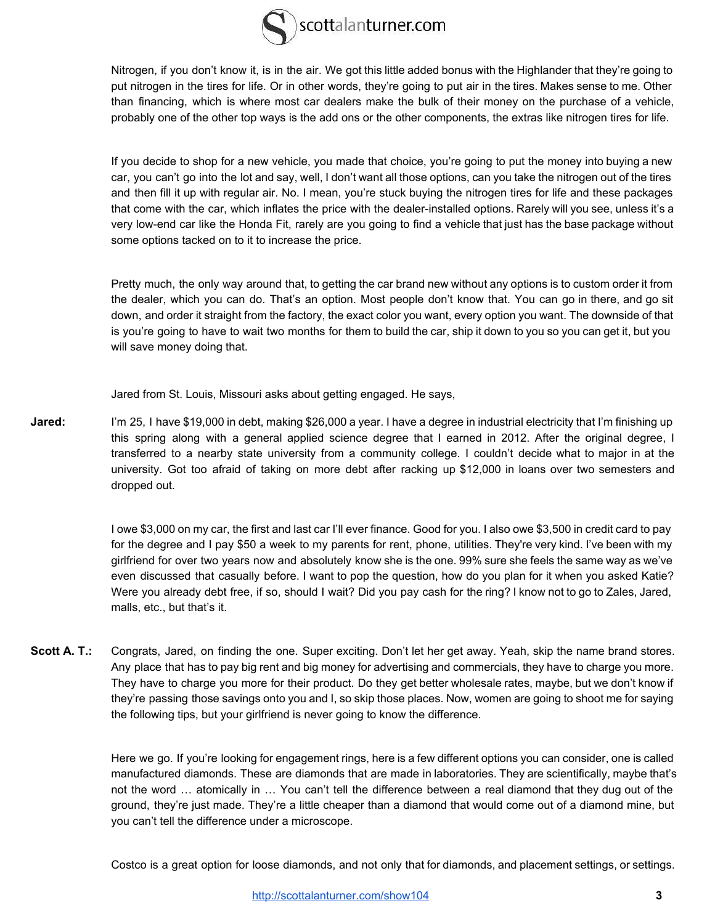

Nitrogen, if you don't know it, is in the air. We got this little added bonus with the Highlander that they're going to put nitrogen in the tires for life. Or in other words, they're going to put air in the tires. Makes sense to me. Other than financing, which is where most car dealers make the bulk of their money on the purchase of a vehicle, probably one of the other top ways is the add ons or the other components, the extras like nitrogen tires for life.

If you decide to shop for a new vehicle, you made that choice, you're going to put the money into buying a new car, you can't go into the lot and say, well, I don't want all those options, can you take the nitrogen out of the tires and then fill it up with regular air. No. I mean, you're stuck buying the nitrogen tires for life and these packages that come with the car, which inflates the price with the dealer-installed options. Rarely will you see, unless it's a very low-end car like the Honda Fit, rarely are you going to find a vehicle that just has the base package without some options tacked on to it to increase the price.

Pretty much, the only way around that, to getting the car brand new without any options is to custom order it from the dealer, which you can do. That's an option. Most people don't know that. You can go in there, and go sit down, and order it straight from the factory, the exact color you want, every option you want. The downside of that is you're going to have to wait two months for them to build the car, ship it down to you so you can get it, but you will save money doing that.

Jared from St. Louis, Missouri asks about getting engaged. He says,

**Jared:** I'm 25, I have \$19,000 in debt, making \$26,000 a year. I have a degree in industrial electricity that I'm finishing up this spring along with a general applied science degree that I earned in 2012. After the original degree, I transferred to a nearby state university from a community college. I couldn't decide what to major in at the university. Got too afraid of taking on more debt after racking up \$12,000 in loans over two semesters and dropped out.

> I owe \$3,000 on my car, the first and last car I'll ever finance. Good for you. I also owe \$3,500 in credit card to pay for the degree and I pay \$50 a week to my parents for rent, phone, utilities. They're very kind. I've been with my girlfriend for over two years now and absolutely know she is the one. 99% sure she feels the same way as we've even discussed that casually before. I want to pop the question, how do you plan for it when you asked Katie? Were you already debt free, if so, should I wait? Did you pay cash for the ring? I know not to go to Zales, Jared, malls, etc., but that's it.

**Scott A. T.:** Congrats, Jared, on finding the one. Super exciting. Don't let her get away. Yeah, skip the name brand stores. Any place that has to pay big rent and big money for advertising and commercials, they have to charge you more. They have to charge you more for their product. Do they get better wholesale rates, maybe, but we don't know if they're passing those savings onto you and I, so skip those places. Now, women are going to shoot me for saying the following tips, but your girlfriend is never going to know the difference.

> Here we go. If you're looking for engagement rings, here is a few different options you can consider, one is called manufactured diamonds. These are diamonds that are made in laboratories. They are scientifically, maybe that's not the word ... atomically in ... You can't tell the difference between a real diamond that they dug out of the ground, they're just made. They're a little cheaper than a diamond that would come out of a diamond mine, but you can't tell the difference under a microscope.

> Costco is a great option for loose diamonds, and not only that for diamonds, and placement settings, or settings.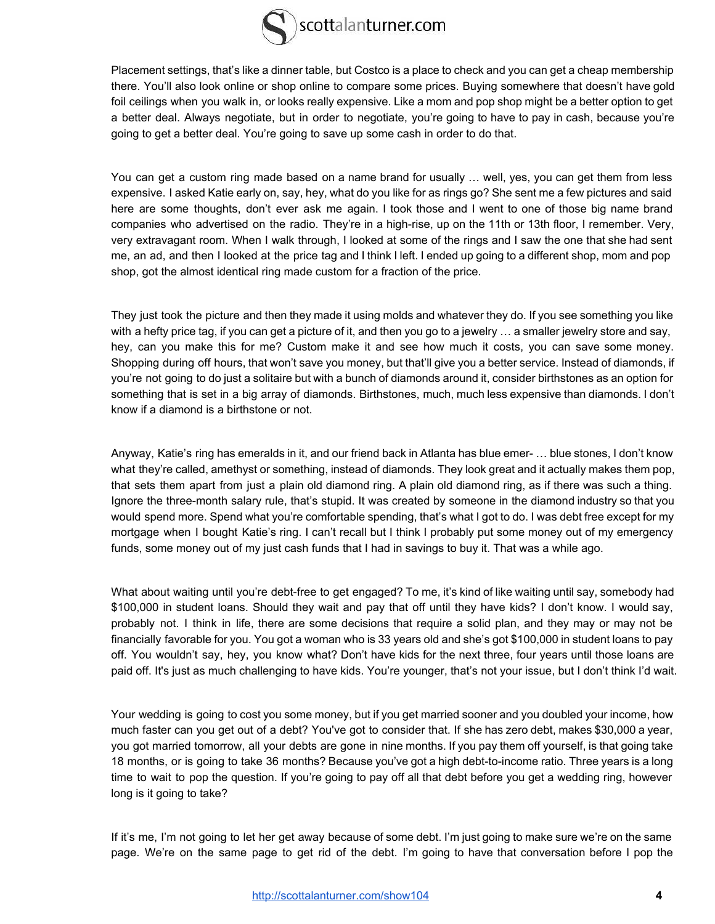

Placement settings, that's like a dinner table, but Costco is a place to check and you can get a cheap membership there. You'll also look online or shop online to compare some prices. Buying somewhere that doesn't have gold foil ceilings when you walk in, or looks really expensive. Like a mom and pop shop might be a better option to get a better deal. Always negotiate, but in order to negotiate, you're going to have to pay in cash, because you're going to get a better deal. You're going to save up some cash in order to do that.

You can get a custom ring made based on a name brand for usually ... well, yes, you can get them from less expensive. I asked Katie early on, say, hey, what do you like for as rings go? She sent me a few pictures and said here are some thoughts, don't ever ask me again. I took those and I went to one of those big name brand companies who advertised on the radio. They're in a high-rise, up on the 11th or 13th floor, I remember. Very, very extravagant room. When I walk through, I looked at some of the rings and I saw the one that she had sent me, an ad, and then I looked at the price tag and I think I left. I ended up going to a different shop, mom and pop shop, got the almost identical ring made custom for a fraction of the price.

They just took the picture and then they made it using molds and whatever they do. If you see something you like with a hefty price tag, if you can get a picture of it, and then you go to a jewelry  $\ldots$  a smaller jewelry store and say, hey, can you make this for me? Custom make it and see how much it costs, you can save some money. Shopping during off hours, that won't save you money, but that'll give you a better service. Instead of diamonds, if you're not going to do just a solitaire but with a bunch of diamonds around it, consider birthstones as an option for something that is set in a big array of diamonds. Birthstones, much, much less expensive than diamonds. I don't know if a diamond is a birthstone or not.

Anyway, Katie's ring has emeralds in it, and our friend back in Atlanta has blue emer- ... blue stones, I don't know what they're called, amethyst or something, instead of diamonds. They look great and it actually makes them pop, that sets them apart from just a plain old diamond ring. A plain old diamond ring, as if there was such a thing. Ignore the three-month salary rule, that's stupid. It was created by someone in the diamond industry so that you would spend more. Spend what you're comfortable spending, that's what I got to do. I was debt free except for my mortgage when I bought Katie's ring. I can't recall but I think I probably put some money out of my emergency funds, some money out of my just cash funds that I had in savings to buy it. That was a while ago.

What about waiting until you're debt-free to get engaged? To me, it's kind of like waiting until say, somebody had \$100,000 in student loans. Should they wait and pay that off until they have kids? I don't know. I would say, probably not. I think in life, there are some decisions that require a solid plan, and they may or may not be financially favorable for you. You got a woman who is 33 years old and she's got \$100,000 in student loans to pay off. You wouldn't say, hey, you know what? Don't have kids for the next three, four years until those loans are paid off. It's just as much challenging to have kids. You're younger, that's not your issue, but I don't think I'd wait.

Your wedding is going to cost you some money, but if you get married sooner and you doubled your income, how much faster can you get out of a debt? You've got to consider that. If she has zero debt, makes \$30,000 a year, you got married tomorrow, all your debts are gone in nine months. If you pay them off yourself, is that going take 18 months, or is going to take 36 months? Because you've got a high debt-to-income ratio. Three years is a long time to wait to pop the question. If you're going to pay off all that debt before you get a wedding ring, however long is it going to take?

If it's me, I'm not going to let her get away because of some debt. I'm just going to make sure we're on the same page. We're on the same page to get rid of the debt. I'm going to have that conversation before I pop the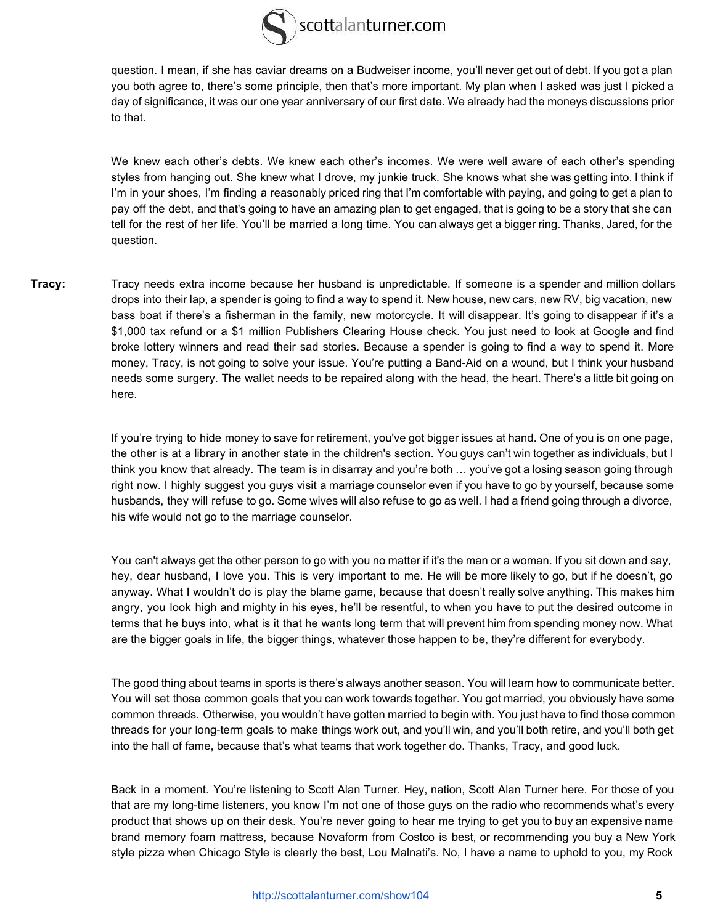

question. I mean, if she has caviar dreams on a Budweiser income, you'll never get out of debt. If you got a plan you both agree to, there's some principle, then that's more important. My plan when I asked was just I picked a day of significance, it was our one year anniversary of our first date. We already had the moneys discussions prior to that.

We knew each other's debts. We knew each other's incomes. We were well aware of each other's spending styles from hanging out. She knew what I drove, my junkie truck. She knows what she was getting into. I think if I'm in your shoes, I'm finding a reasonably priced ring that I'm comfortable with paying, and going to get a plan to pay off the debt, and that's going to have an amazing plan to get engaged, that is going to be a story that she can tell for the rest of her life. You'll be married a long time. You can always get a bigger ring. Thanks, Jared, for the question.

**Tracy:** Tracy needs extra income because her husband is unpredictable. If someone is a spender and million dollars drops into their lap, a spender is going to find a way to spend it. New house, new cars, new RV, big vacation, new bass boat if there's a fisherman in the family, new motorcycle. It will disappear. It's going to disappear if it's a \$1,000 tax refund or a \$1 million Publishers Clearing House check. You just need to look at Google and find broke lottery winners and read their sad stories. Because a spender is going to find a way to spend it. More money, Tracy, is not going to solve your issue. You're putting a Band-Aid on a wound, but I think your husband needs some surgery. The wallet needs to be repaired along with the head, the heart. There's a little bit going on here.

> If you're trying to hide money to save for retirement, you've got bigger issues at hand. One of you is on one page, the other is at a library in another state in the children's section. You guys can't win together as individuals, but I think you know that already. The team is in disarray and you're both ... you've got a losing season going through right now. I highly suggest you guys visit a marriage counselor even if you have to go by yourself, because some husbands, they will refuse to go. Some wives will also refuse to go as well. I had a friend going through a divorce, his wife would not go to the marriage counselor.

> You can't always get the other person to go with you no matter if it's the man or a woman. If you sit down and say, hey, dear husband, I love you. This is very important to me. He will be more likely to go, but if he doesn't, go anyway. What I wouldn't do is play the blame game, because that doesn't really solve anything. This makes him angry, you look high and mighty in his eyes, he'll be resentful, to when you have to put the desired outcome in terms that he buys into, what is it that he wants long term that will prevent him from spending money now. What are the bigger goals in life, the bigger things, whatever those happen to be, they're different for everybody.

> The good thing about teams in sports is there's always another season . You will learn how to communicate better. You will set those common goals that you can work towards together. You got married, you obviously have some common threads. Otherwise, you wouldn't have gotten married to begin with . You just have to find those common threads for your long-term goals to make things work out, and you'll win, and you'll both retire, and you'll both get into the hall of fame, because that's what teams that work together do. Thanks, Tracy, and good luck.

> Back in a moment. You're listening to Scott Alan Turner. Hey, nation, Scott Alan Turner here. For those of you that are my long-time listeners, you know I'm not one of those guys on the radio who recommends what's every product that shows up on their desk. You're never going to hear me trying to get you to buy an expensive name brand memory foam mattress, because Novaform from Costco is best, or recommending you buy a New York style pizza when Chicago Style is clearly the best, Lou Malnati's. No, I have a name to uphold to you, my Rock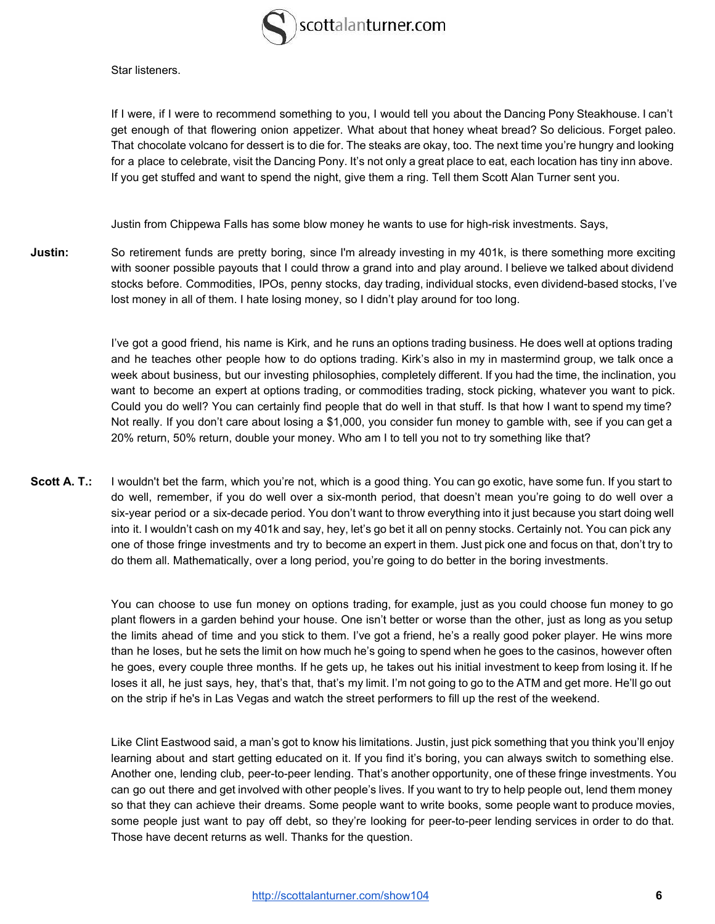

Star listeners.

If I were, if I were to recommend something to you, I would tell you about the Dancing Pony Steakhouse. I can't get enough of that flowering onion appetizer. What about that honey wheat bread? So delicious. Forget paleo. That chocolate volcano for dessert is to die for. The steaks are okay, too. The next time you're hungry and looking for a place to celebrate, visit the Dancing Pony. It's not only a great place to eat, each location has tiny inn above. If you get stuffed and want to spend the night, give them a ring. Tell them Scott Alan Turner sent you.

Justin from Chippewa Falls has some blow money he wants to use for high-risk investments. Says,

**Justin:** So retirement funds are pretty boring, since I'm already investing in my 401k, is there something more exciting with sooner possible payouts that I could throw a grand into and play around. I believe we talked about dividend stocks before. Commodities, IPOs, penny stocks, day trading, individual stocks, even dividend-based stocks, I've lost money in all of them. I hate losing money, so I didn't play around for too long.

> I've got a good friend, his name is Kirk, and he runs an options trading business. He does well at options trading and he teaches other people how to do options trading. Kirk's also in my in mastermind group, we talk once a week about business, but our investing philosophies, completely different. If you had the time, the inclination, you want to become an expert at options trading, or commodities trading, stock picking, whatever you want to pick. Could you do well? You can certainly find people that do well in that stuff. Is that how I want to spend my time? Not really. If you don't care about losing a \$1,000, you consider fun money to gamble with, see if you can get a 20% return, 50% return, double your money. Who am I to tell you not to try something like that?

**Scott A. T.:** I wouldn't bet the farm, which you're not, which is a good thing. You can go exotic, have some fun. If you start to do well, remember, if you do well over a six-month period, that doesn't mean you're going to do well over a six-year period or a six-decade period. You don't want to throw everything into it just because you start doing well into it. I wouldn't cash on my 401k and say, hey, let's go bet it all on penny stocks. Certainly not. You can pick any one of those fringe investments and try to become an expert in them. Just pick one and focus on that, don't try to do them all. Mathematically, over a long period, you're going to do better in the boring investments.

> You can choose to use fun money on options trading, for example, just as you could choose fun money to go plant flowers in a garden behind your house. One isn't better or worse than the other, just as long as you setup the limits ahead of time and you stick to them. I've got a friend, he's a really good poker player. He wins more than he loses, but he sets the limit on how much he's going to spend when he goes to the casinos, however often he goes, every couple three months. If he gets up, he takes out his initial investment to keep from losing it. If he loses it all, he just says, hey, that's that, that's my limit. I'm not going to go to the ATM and get more. He'll go out on the strip if he's in Las Vegas and watch the street performers to fill up the rest of the weekend.

> Like Clint Eastwood said, a man's got to know his limitations. Justin, just pick something that you think you'll enjoy learning about and start getting educated on it. If you find it's boring, you can always switch to something else. Another one, lending club, peer-to-peer lending. That's another opportunity, one of these fringe investments. You can go out there and get involved with other people's lives. If you want to try to help people out, lend them money so that they can achieve their dreams. Some people want to write books, some people want to produce movies, some people just want to pay off debt, so they're looking for peer-to-peer lending services in order to do that. Those have decent returns as well. Thanks for the question.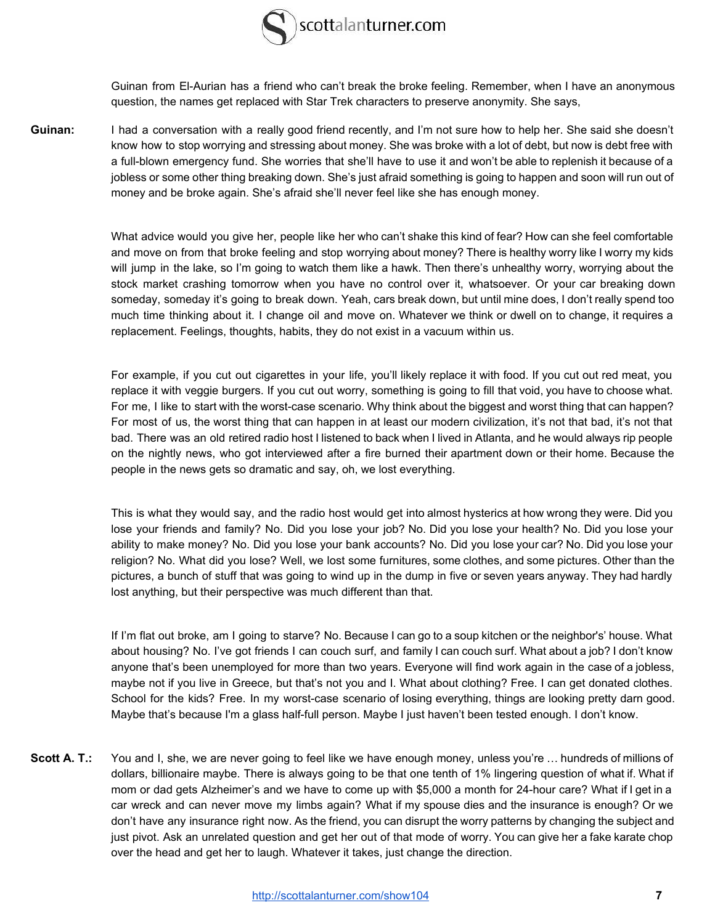

Guinan from El-Aurian has a friend who can't break the broke feeling. Remember, when I have an anonymous question, the names get replaced with Star Trek characters to preserve anonymity. She says,

Guinan: I had a conversation with a really good friend recently, and I'm not sure how to help her. She said she doesn't know how to stop worrying and stressing about money. She was broke with a lot of debt, but now is debt free with a full-blown emergency fund. She worries that she'll have to use it and won't be able to replenish it because of a jobless or some other thing breaking down. She's just afraid something is going to happen and soon will run out of money and be broke again. She's afraid she'll never feel like she has enough money.

> What advice would you give her, people like her who can't shake this kind of fear? How can she feel comfortable and move on from that broke feeling and stop worrying about money? There is healthy worry like I worry my kids will jump in the lake, so I'm going to watch them like a hawk. Then there's unhealthy worry, worrying about the stock market crashing tomorrow when you have no control over it, whatsoever. Or your car breaking down someday, someday it's going to break down. Yeah, cars break down, but until mine does, I don't really spend too much time thinking about it. I change oil and move on. Whatever we think or dwell on to change, it requires a replacement. Feelings, thoughts, habits, they do not exist in a vacuum within us.

> For example, if you cut out cigarettes in your life, you'll likely replace it with food. If you cut out red meat, you replace it with veggie burgers. If you cut out worry, something is going to fill that void, you have to choose what. For me, I like to start with the worst-case scenario. Why think about the biggest and worst thing that can happen? For most of us, the worst thing that can happen in at least our modern civilization, it's not that bad, it's not that bad. There was an old retired radio host I listened to back when I lived in Atlanta, and he would always rip people on the nightly news, who got interviewed after a fire burned their apartment down or their home. Because the people in the news gets so dramatic and say, oh, we lost everything.

> This is what they would say, and the radio host would get into almost hysterics at how wrong they were. Did you lose your friends and family? No. Did you lose your job? No. Did you lose your health? No. Did you lose your ability to make money? No. Did you lose your bank accounts? No. Did you lose your car? No. Did you lose your religion? No. What did you lose? Well, we lost some furnitures, some clothes, and some pictures. Other than the pictures, a bunch of stuff that was going to wind up in the dump in five or seven years anyway. They had hardly lost anything, but their perspective was much different than that.

> If I'm flat out broke, am I going to starve? No. Because I can go to a soup kitchen or the neighbor's' house. What about housing? No. I've got friends I can couch surf, and family I can couch surf. What about a job? I don't know anyone that's been unemployed for more than two years. Everyone will find work again in the case of a jobless, maybe not if you live in Greece, but that's not you and I. What about clothing? Free. I can get donated clothes. School for the kids? Free. In my worst-case scenario of losing everything, things are looking pretty darn good. Maybe that's because I'm a glass half-full person. Maybe I just haven't been tested enough. I don't know.

Scott A. T.: You and I, she, we are never going to feel like we have enough money, unless you're ... hundreds of millions of dollars, billionaire maybe. There is always going to be that one tenth of 1% lingering question of what if. What if mom or dad gets Alzheimer's and we have to come up with \$5,000 a month for 24-hour care? What if I get in a car wreck and can never move my limbs again? What if my spouse dies and the insurance is enough? Or we don't have any insurance right now. As the friend, you can disrupt the worry patterns by changing the subject and just pivot. Ask an unrelated question and get her out of that mode of worry. You can give her a fake karate chop over the head and get her to laugh. Whatever it takes, just change the direction.